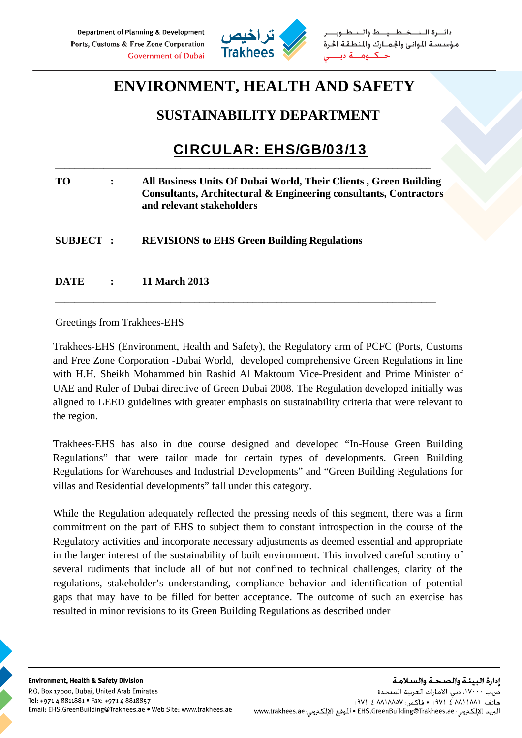

دائيرة التخطيط والتط مؤسسة الموانئ والجمارك والمنطقة الحرة حكوم

## **ENVIRONMENT, HEALTH AND SAFETY**

### **SUSTAINABILITY DEPARTMENT**

# CIRCULAR: EHS/GB/03/13

| <b>TO</b>        | All Business Units Of Dubai World, Their Clients, Green Building<br>Consultants, Architectural & Engineering consultants, Contractors<br>and relevant stakeholders |
|------------------|--------------------------------------------------------------------------------------------------------------------------------------------------------------------|
| <b>SUBJECT :</b> | <b>REVISIONS to EHS Green Building Regulations</b>                                                                                                                 |
| <b>DATE</b>      | <b>11 March 2013</b>                                                                                                                                               |

\_\_\_\_\_\_\_\_\_\_\_\_\_\_\_\_\_\_\_\_\_\_\_\_\_\_\_\_\_\_\_\_\_\_\_\_\_\_\_\_\_\_\_\_\_\_\_\_\_\_\_\_\_\_\_\_\_\_\_\_\_\_\_\_\_\_\_\_\_\_\_\_\_\_\_\_\_\_\_

\_\_\_\_\_\_\_\_\_\_\_\_\_\_\_\_\_\_\_\_\_\_\_\_\_\_\_\_\_\_\_\_\_\_\_\_\_\_\_\_\_\_\_\_\_\_\_\_\_\_\_\_\_\_\_\_\_\_\_\_\_\_\_\_\_\_\_\_\_\_\_\_\_\_\_\_\_\_

Greetings from Trakhees-EHS

Trakhees-EHS (Environment, Health and Safety), the Regulatory arm of PCFC (Ports, Customs and Free Zone Corporation -Dubai World, developed comprehensive Green Regulations in line with H.H. Sheikh Mohammed bin Rashid Al Maktoum Vice-President and Prime Minister of UAE and Ruler of Dubai directive of Green Dubai 2008. The Regulation developed initially was aligned to LEED guidelines with greater emphasis on sustainability criteria that were relevant to the region.

Trakhees-EHS has also in due course designed and developed "In-House Green Building Regulations" that were tailor made for certain types of developments. Green Building Regulations for Warehouses and Industrial Developments" and "Green Building Regulations for villas and Residential developments" fall under this category.

While the Regulation adequately reflected the pressing needs of this segment, there was a firm commitment on the part of EHS to subject them to constant introspection in the course of the Regulatory activities and incorporate necessary adjustments as deemed essential and appropriate in the larger interest of the sustainability of built environment. This involved careful scrutiny of several rudiments that include all of but not confined to technical challenges, clarity of the regulations, stakeholder's understanding, compliance behavior and identification of potential gaps that may have to be filled for better acceptance. The outcome of such an exercise has resulted in minor revisions to its Green Building Regulations as described under

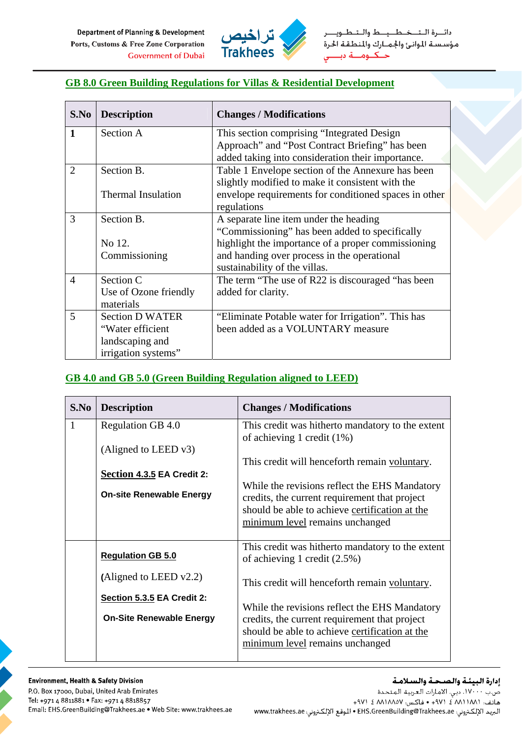Department of Planning & Development Ports, Customs & Free Zone Corporation **Government of Dubai** 



دائـــرة الــتـــخــطـــيـــط والــتــ مؤسسة الموانئ والجمارك والمنطقة الحرة حكوم ـة دب

#### **GB 8.0 Green Building Regulations for Villas & Residential Development**

| S.No           | <b>Description</b>        | <b>Changes / Modifications</b>                        |
|----------------|---------------------------|-------------------------------------------------------|
| $\mathbf{1}$   | Section A                 | This section comprising "Integrated Design            |
|                |                           | Approach" and "Post Contract Briefing" has been       |
|                |                           | added taking into consideration their importance.     |
| $\overline{2}$ | Section B.                | Table 1 Envelope section of the Annexure has been     |
|                |                           | slightly modified to make it consistent with the      |
|                | <b>Thermal Insulation</b> | envelope requirements for conditioned spaces in other |
|                |                           | regulations                                           |
| 3              | Section B.                | A separate line item under the heading                |
|                |                           | "Commissioning" has been added to specifically        |
|                | No 12.                    | highlight the importance of a proper commissioning    |
|                | Commissioning             | and handing over process in the operational           |
|                |                           | sustainability of the villas.                         |
| $\overline{4}$ | Section C                 | The term "The use of R22 is discouraged "has been     |
|                | Use of Ozone friendly     | added for clarity.                                    |
|                | materials                 |                                                       |
| 5              | <b>Section D WATER</b>    | "Eliminate Potable water for Irrigation". This has    |
|                | "Water efficient          | been added as a VOLUNTARY measure                     |
|                | landscaping and           |                                                       |
|                | irrigation systems"       |                                                       |

#### **GB 4.0 and GB 5.0 (Green Building Regulation aligned to LEED)**

| S.No         | <b>Description</b>              | <b>Changes / Modifications</b>                   |
|--------------|---------------------------------|--------------------------------------------------|
| $\mathbf{1}$ | Regulation GB 4.0               | This credit was hitherto mandatory to the extent |
|              |                                 | of achieving 1 credit $(1\%)$                    |
|              | (Aligned to LEED v3)            |                                                  |
|              |                                 | This credit will henceforth remain voluntary.    |
|              | Section 4.3.5 EA Credit 2:      |                                                  |
|              | <b>On-site Renewable Energy</b> | While the revisions reflect the EHS Mandatory    |
|              |                                 | credits, the current requirement that project    |
|              |                                 | should be able to achieve certification at the   |
|              |                                 | minimum level remains unchanged                  |
|              |                                 | This credit was hitherto mandatory to the extent |
|              | <b>Regulation GB 5.0</b>        | of achieving 1 credit $(2.5\%)$                  |
|              |                                 |                                                  |
|              | (Aligned to LEED $v2.2$ )       | This credit will henceforth remain voluntary.    |
|              | Section 5.3.5 EA Credit 2:      |                                                  |
|              |                                 | While the revisions reflect the EHS Mandatory    |
|              | <b>On-Site Renewable Energy</b> | credits, the current requirement that project    |
|              |                                 | should be able to achieve certification at the   |
|              |                                 | minimum level remains unchanged                  |
|              |                                 |                                                  |